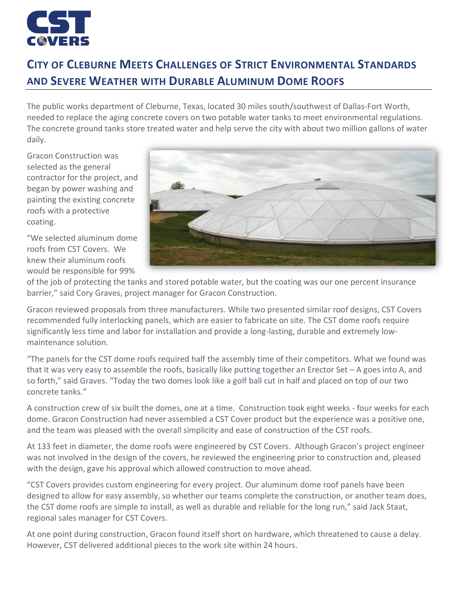

## **CITY OF CLEBURNE MEETS CHALLENGES OF STRICT ENVIRONMENTAL STANDARDS AND SEVERE WEATHER WITH DURABLE ALUMINUM DOME ROOFS**

The public works department of Cleburne, Texas, located 30 miles south/southwest of Dallas-Fort Worth, needed to replace the aging concrete covers on two potable water tanks to meet environmental regulations. The concrete ground tanks store treated water and help serve the city with about two million gallons of water daily.

Gracon Construction was selected as the general contractor for the project, and began by power washing and painting the existing concrete roofs with a protective coating.

"We selected aluminum dome roofs from CST Covers. We knew their aluminum roofs would be responsible for 99%



of the job of protecting the tanks and stored potable water, but the coating was our one percent insurance barrier," said Cory Graves, project manager for Gracon Construction.

Gracon reviewed proposals from three manufacturers. While two presented similar roof designs, CST Covers recommended fully interlocking panels, which are easier to fabricate on site. The CST dome roofs require significantly less time and labor for installation and provide a long-lasting, durable and extremely lowmaintenance solution.

"The panels for the CST dome roofs required half the assembly time of their competitors. What we found was that it was very easy to assemble the roofs, basically like putting together an Erector Set – A goes into A, and so forth," said Graves. "Today the two domes look like a golf ball cut in half and placed on top of our two concrete tanks."

A construction crew of six built the domes, one at a time. Construction took eight weeks - four weeks for each dome. Gracon Construction had never assembled a CST Cover product but the experience was a positive one, and the team was pleased with the overall simplicity and ease of construction of the CST roofs.

At 133 feet in diameter, the dome roofs were engineered by CST Covers. Although Gracon's project engineer was not involved in the design of the covers, he reviewed the engineering prior to construction and, pleased with the design, gave his approval which allowed construction to move ahead.

"CST Covers provides custom engineering for every project. Our aluminum dome roof panels have been designed to allow for easy assembly, so whether our teams complete the construction, or another team does, the CST dome roofs are simple to install, as well as durable and reliable for the long run," said Jack Staat, regional sales manager for CST Covers.

At one point during construction, Gracon found itself short on hardware, which threatened to cause a delay. However, CST delivered additional pieces to the work site within 24 hours.